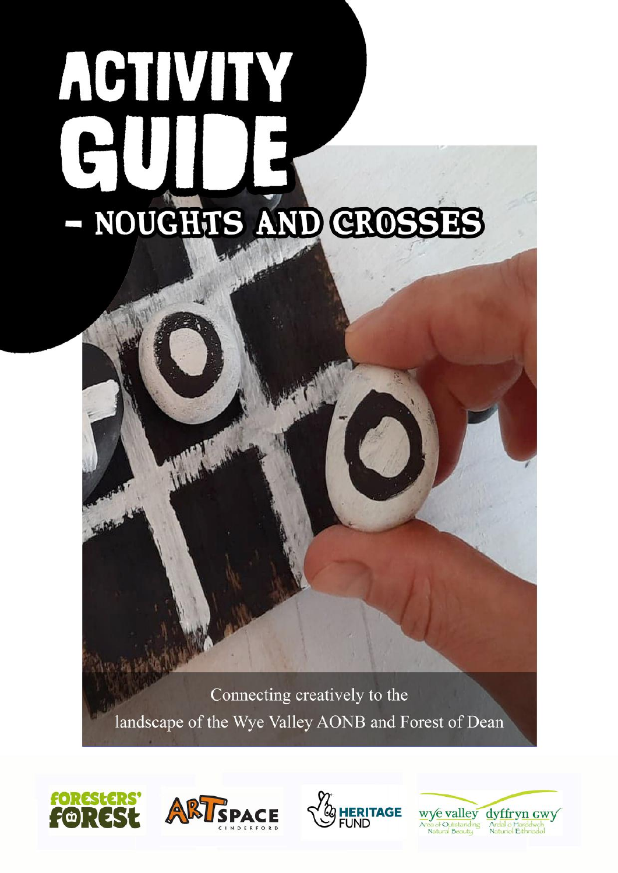# ACTIVITY - NOUGHIIS AND CROSSES

Connecting creatively to the landscape of the Wye Valley AONB and Forest of Dean







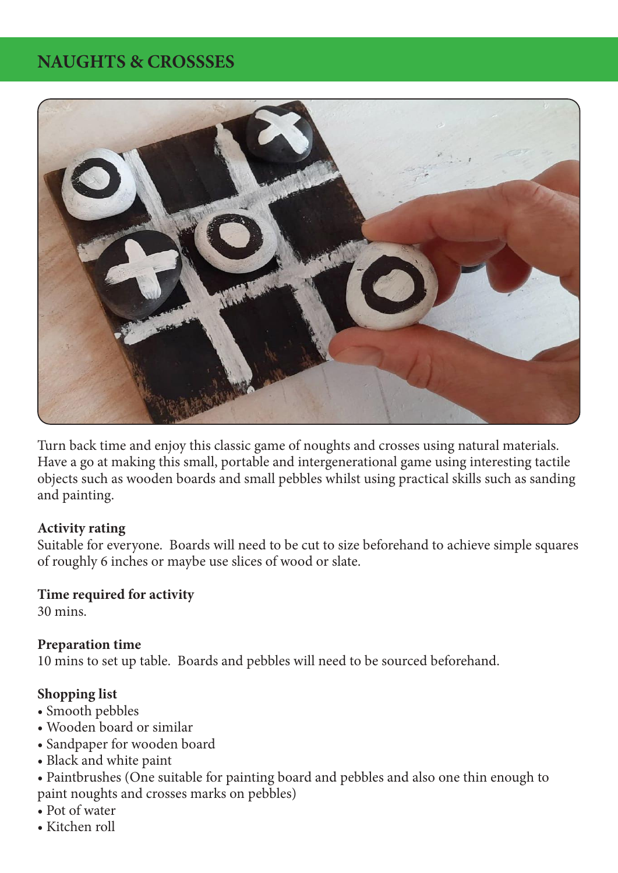# **NAUGHTS & CROSSSES**



Turn back time and enjoy this classic game of noughts and crosses using natural materials. Have a go at making this small, portable and intergenerational game using interesting tactile objects such as wooden boards and small pebbles whilst using practical skills such as sanding and painting.

### **Activity rating**

Suitable for everyone. Boards will need to be cut to size beforehand to achieve simple squares of roughly 6 inches or maybe use slices of wood or slate.

### **Time required for activity**

30 mins.

### **Preparation time**

10 mins to set up table. Boards and pebbles will need to be sourced beforehand.

## **Shopping list**

- Smooth pebbles
- Wooden board or similar
- Sandpaper for wooden board
- Black and white paint
- Paintbrushes (One suitable for painting board and pebbles and also one thin enough to paint noughts and crosses marks on pebbles)
- Pot of water
- Kitchen roll